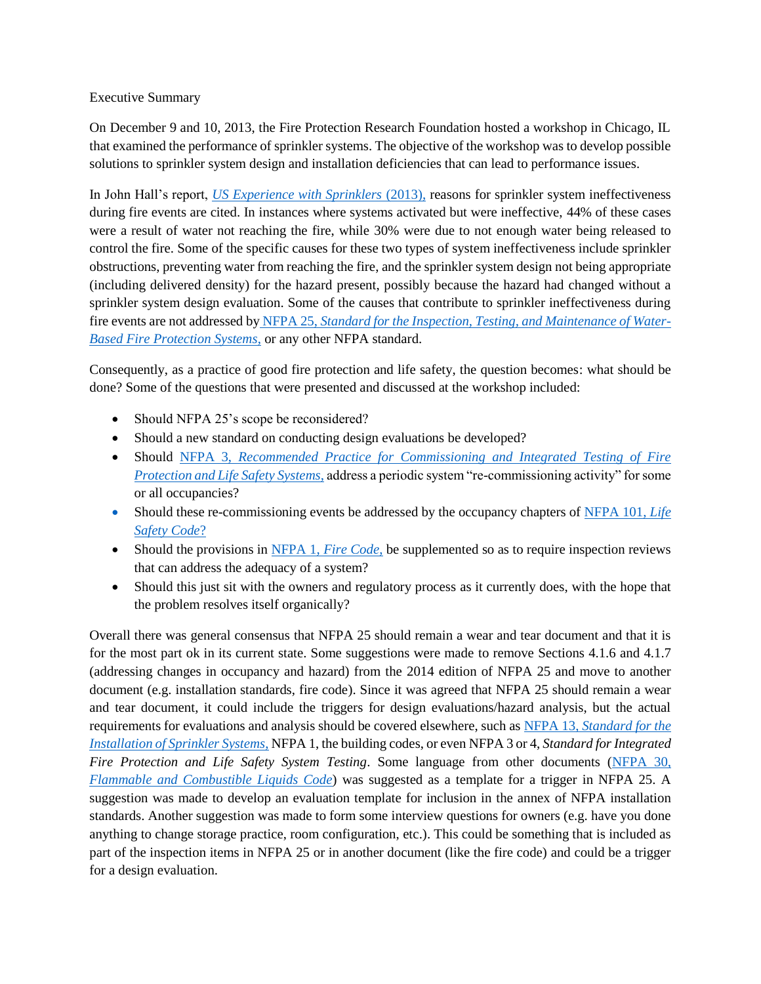Executive Summary

On December 9 and 10, 2013, the Fire Protection Research Foundation hosted a workshop in Chicago, IL that examined the performance of sprinkler systems. The objective of the workshop was to develop possible solutions to sprinkler system design and installation deficiencies that can lead to performance issues.

In John Hall's report, *[US Experience with Sprinklers](http://www.nfpa.org/research/reports-and-statistics/fire-safety-equipment/us-experience-with-sprinklers)* (2013), reasons for sprinkler system ineffectiveness during fire events are cited. In instances where systems activated but were ineffective, 44% of these cases were a result of water not reaching the fire, while 30% were due to not enough water being released to control the fire. Some of the specific causes for these two types of system ineffectiveness include sprinkler obstructions, preventing water from reaching the fire, and the sprinkler system design not being appropriate (including delivered density) for the hazard present, possibly because the hazard had changed without a sprinkler system design evaluation. Some of the causes that contribute to sprinkler ineffectiveness during fire events are not addressed by NFPA 25, *[Standard for the Inspection, Testing, and Maintenance of Water-](http://www.nfpa.org/codes-and-standards/document-information-pages?mode=code&code=30)[Based Fire Protection Systems](http://www.nfpa.org/codes-and-standards/document-information-pages?mode=code&code=30)*, or any other NFPA standard.

Consequently, as a practice of good fire protection and life safety, the question becomes: what should be done? Some of the questions that were presented and discussed at the workshop included:

- Should NFPA 25's scope be reconsidered?
- Should a new standard on conducting design evaluations be developed?
- Should NFPA 3, *[Recommended Practice for Commissioning and Integrated Testing of Fire](http://www.nfpa.org/codes-and-standards/document-information-pages?mode=code&code=3)  [Protection and Life Safety Systems](http://www.nfpa.org/codes-and-standards/document-information-pages?mode=code&code=3)*, address a periodic system "re-commissioning activity" for some or all occupancies?
- Should these re-commissioning events be addressed by the occupancy chapters of [NFPA 101,](http://www.nfpa.org/codes-and-standards/document-information-pages?mode=code&code=101) *Life [Safety Code](http://www.nfpa.org/codes-and-standards/document-information-pages?mode=code&code=101)*?
- Should the provisions in NFPA 1, *[Fire Code](http://www.nfpa.org/codes-and-standards/document-information-pages?search=1)*, be supplemented so as to require inspection reviews that can address the adequacy of a system?
- Should this just sit with the owners and regulatory process as it currently does, with the hope that the problem resolves itself organically?

Overall there was general consensus that NFPA 25 should remain a wear and tear document and that it is for the most part ok in its current state. Some suggestions were made to remove Sections 4.1.6 and 4.1.7 (addressing changes in occupancy and hazard) from the 2014 edition of NFPA 25 and move to another document (e.g. installation standards, fire code). Since it was agreed that NFPA 25 should remain a wear and tear document, it could include the triggers for design evaluations/hazard analysis, but the actual requirements for evaluations and analysis should be covered elsewhere, such as NFPA 13, *[Standard for the](http://www.nfpa.org/codes-and-standards/document-information-pages?mode=code&code=30)  [Installation of Sprinkler Systems](http://www.nfpa.org/codes-and-standards/document-information-pages?mode=code&code=30)*, NFPA 1, the building codes, or even NFPA 3 or 4, *Standard for Integrated Fire Protection and Life Safety System Testing*. Some language from other documents [\(NFPA 30,](http://www.nfpa.org/codes-and-standards/document-information-pages?mode=code&code=30)  *[Flammable and Combustible Liquids Code](http://www.nfpa.org/codes-and-standards/document-information-pages?mode=code&code=30)*) was suggested as a template for a trigger in NFPA 25. A suggestion was made to develop an evaluation template for inclusion in the annex of NFPA installation standards. Another suggestion was made to form some interview questions for owners (e.g. have you done anything to change storage practice, room configuration, etc.). This could be something that is included as part of the inspection items in NFPA 25 or in another document (like the fire code) and could be a trigger for a design evaluation.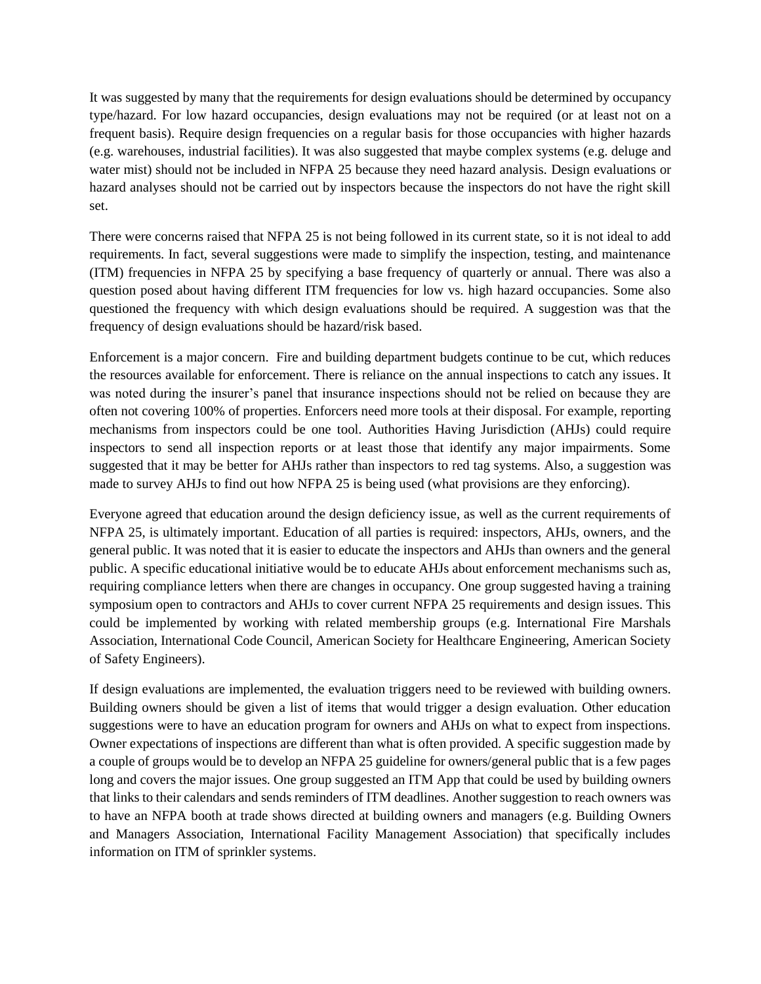It was suggested by many that the requirements for design evaluations should be determined by occupancy type/hazard. For low hazard occupancies, design evaluations may not be required (or at least not on a frequent basis). Require design frequencies on a regular basis for those occupancies with higher hazards (e.g. warehouses, industrial facilities). It was also suggested that maybe complex systems (e.g. deluge and water mist) should not be included in NFPA 25 because they need hazard analysis. Design evaluations or hazard analyses should not be carried out by inspectors because the inspectors do not have the right skill set.

There were concerns raised that NFPA 25 is not being followed in its current state, so it is not ideal to add requirements. In fact, several suggestions were made to simplify the inspection, testing, and maintenance (ITM) frequencies in NFPA 25 by specifying a base frequency of quarterly or annual. There was also a question posed about having different ITM frequencies for low vs. high hazard occupancies. Some also questioned the frequency with which design evaluations should be required. A suggestion was that the frequency of design evaluations should be hazard/risk based.

Enforcement is a major concern. Fire and building department budgets continue to be cut, which reduces the resources available for enforcement. There is reliance on the annual inspections to catch any issues. It was noted during the insurer's panel that insurance inspections should not be relied on because they are often not covering 100% of properties. Enforcers need more tools at their disposal. For example, reporting mechanisms from inspectors could be one tool. Authorities Having Jurisdiction (AHJs) could require inspectors to send all inspection reports or at least those that identify any major impairments. Some suggested that it may be better for AHJs rather than inspectors to red tag systems. Also, a suggestion was made to survey AHJs to find out how NFPA 25 is being used (what provisions are they enforcing).

Everyone agreed that education around the design deficiency issue, as well as the current requirements of NFPA 25, is ultimately important. Education of all parties is required: inspectors, AHJs, owners, and the general public. It was noted that it is easier to educate the inspectors and AHJs than owners and the general public. A specific educational initiative would be to educate AHJs about enforcement mechanisms such as, requiring compliance letters when there are changes in occupancy. One group suggested having a training symposium open to contractors and AHJs to cover current NFPA 25 requirements and design issues. This could be implemented by working with related membership groups (e.g. International Fire Marshals Association, International Code Council, American Society for Healthcare Engineering, American Society of Safety Engineers).

If design evaluations are implemented, the evaluation triggers need to be reviewed with building owners. Building owners should be given a list of items that would trigger a design evaluation. Other education suggestions were to have an education program for owners and AHJs on what to expect from inspections. Owner expectations of inspections are different than what is often provided. A specific suggestion made by a couple of groups would be to develop an NFPA 25 guideline for owners/general public that is a few pages long and covers the major issues. One group suggested an ITM App that could be used by building owners that links to their calendars and sends reminders of ITM deadlines. Another suggestion to reach owners was to have an NFPA booth at trade shows directed at building owners and managers (e.g. Building Owners and Managers Association, International Facility Management Association) that specifically includes information on ITM of sprinkler systems.